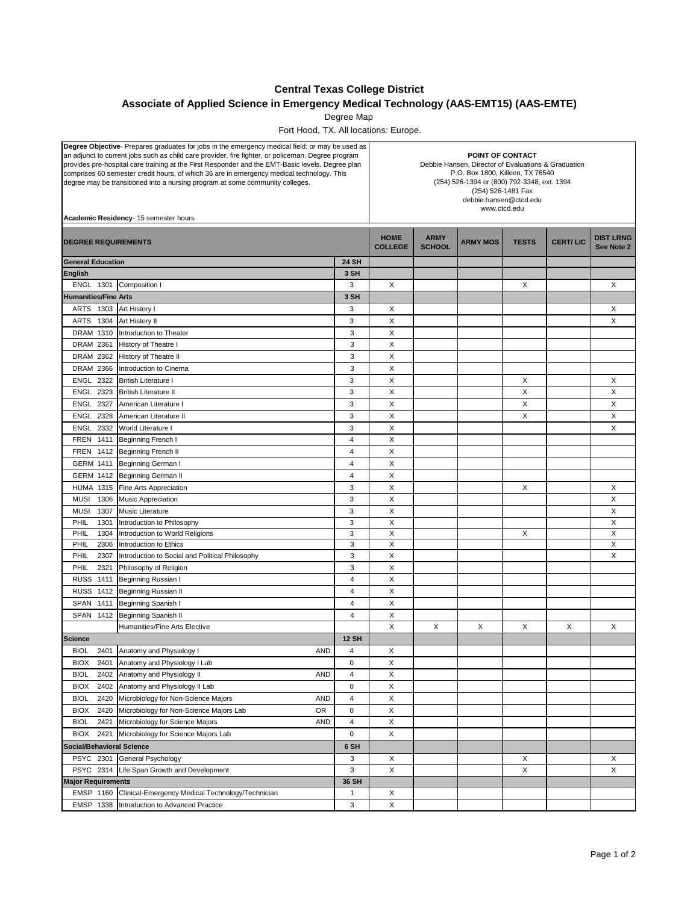## **Central Texas College District**

## **Associate of Applied Science in Emergency Medical Technology (AAS-EMT15) (AAS-EMTE)**

Degree Map

Fort Hood, TX. All locations: Europe.

| Degree Objective- Prepares graduates for jobs in the emergency medical field; or may be used as<br>an adjunct to current jobs such as child care provider, fire fighter, or policeman. Degree program<br>provides pre-hospital care training at the First Responder and the EMT-Basic levels. Degree plan<br>comprises 60 semester credit hours, of which 36 are in emergency medical technology. This<br>degree may be transitioned into a nursing program at some community colleges.<br>Academic Residency- 15 semester hours |                                                   |                | POINT OF CONTACT<br>Debbie Hansen, Director of Evaluations & Graduation<br>P.O. Box 1800, Killeen, TX 76540<br>(254) 526-1394 or (800) 792-3348, ext. 1394<br>(254) 526-1481 Fax<br>debbie.hansen@ctcd.edu<br>www.ctcd.edu |                              |                 |              |                 |                                |
|----------------------------------------------------------------------------------------------------------------------------------------------------------------------------------------------------------------------------------------------------------------------------------------------------------------------------------------------------------------------------------------------------------------------------------------------------------------------------------------------------------------------------------|---------------------------------------------------|----------------|----------------------------------------------------------------------------------------------------------------------------------------------------------------------------------------------------------------------------|------------------------------|-----------------|--------------|-----------------|--------------------------------|
| <b>DEGREE REQUIREMENTS</b>                                                                                                                                                                                                                                                                                                                                                                                                                                                                                                       |                                                   |                | <b>HOME</b><br><b>COLLEGE</b>                                                                                                                                                                                              | <b>ARMY</b><br><b>SCHOOL</b> | <b>ARMY MOS</b> | <b>TESTS</b> | <b>CERT/LIC</b> | <b>DIST LRNG</b><br>See Note 2 |
| <b>General Education</b>                                                                                                                                                                                                                                                                                                                                                                                                                                                                                                         |                                                   | <b>24 SH</b>   |                                                                                                                                                                                                                            |                              |                 |              |                 |                                |
| <b>English</b>                                                                                                                                                                                                                                                                                                                                                                                                                                                                                                                   |                                                   | 3 SH           |                                                                                                                                                                                                                            |                              |                 |              |                 |                                |
| <b>ENGL 1301</b>                                                                                                                                                                                                                                                                                                                                                                                                                                                                                                                 | Composition I                                     | 3              | X                                                                                                                                                                                                                          |                              |                 | X            |                 | X                              |
| <b>Humanities/Fine Arts</b>                                                                                                                                                                                                                                                                                                                                                                                                                                                                                                      |                                                   | 3 SH           |                                                                                                                                                                                                                            |                              |                 |              |                 |                                |
| ARTS 1303                                                                                                                                                                                                                                                                                                                                                                                                                                                                                                                        | Art History I                                     | 3              | Χ                                                                                                                                                                                                                          |                              |                 |              |                 | X                              |
| ARTS 1304                                                                                                                                                                                                                                                                                                                                                                                                                                                                                                                        | Art History II                                    | 3              | X                                                                                                                                                                                                                          |                              |                 |              |                 | X                              |
| DRAM 1310                                                                                                                                                                                                                                                                                                                                                                                                                                                                                                                        | Introduction to Theater                           | 3              | X                                                                                                                                                                                                                          |                              |                 |              |                 |                                |
| DRAM 2361                                                                                                                                                                                                                                                                                                                                                                                                                                                                                                                        | History of Theatre I                              | 3              | X                                                                                                                                                                                                                          |                              |                 |              |                 |                                |
| DRAM 2362                                                                                                                                                                                                                                                                                                                                                                                                                                                                                                                        | History of Theatre II                             | 3              | X                                                                                                                                                                                                                          |                              |                 |              |                 |                                |
| <b>DRAM 2366</b>                                                                                                                                                                                                                                                                                                                                                                                                                                                                                                                 | Introduction to Cinema                            | 3              | X                                                                                                                                                                                                                          |                              |                 |              |                 |                                |
| <b>ENGL 2322</b>                                                                                                                                                                                                                                                                                                                                                                                                                                                                                                                 | <b>British Literature I</b>                       | 3              | X                                                                                                                                                                                                                          |                              |                 | X            |                 | Χ                              |
| ENGL 2323                                                                                                                                                                                                                                                                                                                                                                                                                                                                                                                        | <b>British Literature II</b>                      | 3              | Х                                                                                                                                                                                                                          |                              |                 | Х            |                 | X                              |
| <b>ENGL 2327</b>                                                                                                                                                                                                                                                                                                                                                                                                                                                                                                                 | American Literature I                             | 3              | X                                                                                                                                                                                                                          |                              |                 | X            |                 | X                              |
| ENGL<br>2328                                                                                                                                                                                                                                                                                                                                                                                                                                                                                                                     | American Literature II                            | 3              | X                                                                                                                                                                                                                          |                              |                 | Х            |                 | X                              |
| ENGL<br>2332                                                                                                                                                                                                                                                                                                                                                                                                                                                                                                                     | World Literature I                                | 3              | Х                                                                                                                                                                                                                          |                              |                 |              |                 | X                              |
| <b>FREN 1411</b>                                                                                                                                                                                                                                                                                                                                                                                                                                                                                                                 | Beginning French I                                | 4              | X                                                                                                                                                                                                                          |                              |                 |              |                 |                                |
| <b>FREN 1412</b>                                                                                                                                                                                                                                                                                                                                                                                                                                                                                                                 | Beginning French II                               | 4              | X                                                                                                                                                                                                                          |                              |                 |              |                 |                                |
| <b>GERM 1411</b>                                                                                                                                                                                                                                                                                                                                                                                                                                                                                                                 | Beginning German I                                | 4              | X                                                                                                                                                                                                                          |                              |                 |              |                 |                                |
| <b>GERM 1412</b>                                                                                                                                                                                                                                                                                                                                                                                                                                                                                                                 | <b>Beginning German II</b>                        | 4              | X                                                                                                                                                                                                                          |                              |                 |              |                 |                                |
| <b>HUMA 1315</b>                                                                                                                                                                                                                                                                                                                                                                                                                                                                                                                 | Fine Arts Appreciation                            | 3              | X                                                                                                                                                                                                                          |                              |                 | X            |                 | X                              |
| <b>MUSI</b><br>1306                                                                                                                                                                                                                                                                                                                                                                                                                                                                                                              | Music Appreciation                                | 3              | X                                                                                                                                                                                                                          |                              |                 |              |                 | X                              |
| 1307<br><b>MUSI</b>                                                                                                                                                                                                                                                                                                                                                                                                                                                                                                              | Music Literature                                  | 3              | X                                                                                                                                                                                                                          |                              |                 |              |                 | X                              |
| PHIL<br>1301                                                                                                                                                                                                                                                                                                                                                                                                                                                                                                                     | Introduction to Philosophy                        | 3              | X                                                                                                                                                                                                                          |                              |                 |              |                 | X                              |
| PHIL<br>1304                                                                                                                                                                                                                                                                                                                                                                                                                                                                                                                     | Introduction to World Religions                   | 3              | X                                                                                                                                                                                                                          |                              |                 | X            |                 | X                              |
| PHIL<br>2306                                                                                                                                                                                                                                                                                                                                                                                                                                                                                                                     | Introduction to Ethics                            | 3              | $\mathsf X$                                                                                                                                                                                                                |                              |                 |              |                 | X                              |
| 2307<br>PHIL                                                                                                                                                                                                                                                                                                                                                                                                                                                                                                                     | Introduction to Social and Political Philosophy   | 3              | X                                                                                                                                                                                                                          |                              |                 |              |                 | X                              |
| PHIL<br>2321                                                                                                                                                                                                                                                                                                                                                                                                                                                                                                                     | Philosophy of Religion                            | 3              | X                                                                                                                                                                                                                          |                              |                 |              |                 |                                |
| <b>RUSS 1411</b>                                                                                                                                                                                                                                                                                                                                                                                                                                                                                                                 | Beginning Russian I                               | $\overline{4}$ | X                                                                                                                                                                                                                          |                              |                 |              |                 |                                |
| <b>RUSS 1412</b>                                                                                                                                                                                                                                                                                                                                                                                                                                                                                                                 | Beginning Russian II                              | 4              | X                                                                                                                                                                                                                          |                              |                 |              |                 |                                |
| SPAN 1411                                                                                                                                                                                                                                                                                                                                                                                                                                                                                                                        | Beginning Spanish I                               | 4              | X                                                                                                                                                                                                                          |                              |                 |              |                 |                                |
| SPAN 1412                                                                                                                                                                                                                                                                                                                                                                                                                                                                                                                        | <b>Beginning Spanish II</b>                       | $\overline{4}$ | X                                                                                                                                                                                                                          |                              |                 |              |                 |                                |
|                                                                                                                                                                                                                                                                                                                                                                                                                                                                                                                                  | Humanities/Fine Arts Elective                     |                | X                                                                                                                                                                                                                          | X                            | X               | X            | X               | X                              |
| <b>Science</b>                                                                                                                                                                                                                                                                                                                                                                                                                                                                                                                   |                                                   | <b>12 SH</b>   |                                                                                                                                                                                                                            |                              |                 |              |                 |                                |
| BIOL                                                                                                                                                                                                                                                                                                                                                                                                                                                                                                                             | 2401 Anatomy and Physiology I<br><b>AND</b>       | 4              | X                                                                                                                                                                                                                          |                              |                 |              |                 |                                |
| <b>BIOX</b><br>2401                                                                                                                                                                                                                                                                                                                                                                                                                                                                                                              | Anatomy and Physiology I Lab                      | 0              | X                                                                                                                                                                                                                          |                              |                 |              |                 |                                |
| <b>BIOL</b><br>2402                                                                                                                                                                                                                                                                                                                                                                                                                                                                                                              | Anatomy and Physiology II<br><b>AND</b>           | 4              | X                                                                                                                                                                                                                          |                              |                 |              |                 |                                |
| <b>BIOX</b><br>2402                                                                                                                                                                                                                                                                                                                                                                                                                                                                                                              | Anatomy and Physiology II Lab                     | 0              | X                                                                                                                                                                                                                          |                              |                 |              |                 |                                |
| <b>BIOL</b><br>2420                                                                                                                                                                                                                                                                                                                                                                                                                                                                                                              | Microbiology for Non-Science Majors<br><b>AND</b> | 4              | X                                                                                                                                                                                                                          |                              |                 |              |                 |                                |
| <b>BIOX</b><br>2420                                                                                                                                                                                                                                                                                                                                                                                                                                                                                                              | Microbiology for Non-Science Majors Lab<br>0R     | 0              | X                                                                                                                                                                                                                          |                              |                 |              |                 |                                |
| <b>BIOL</b><br>2421                                                                                                                                                                                                                                                                                                                                                                                                                                                                                                              | Microbiology for Science Majors<br><b>AND</b>     | 4              | X                                                                                                                                                                                                                          |                              |                 |              |                 |                                |
| 2421<br><b>BIOX</b>                                                                                                                                                                                                                                                                                                                                                                                                                                                                                                              | Microbiology for Science Majors Lab               | 0              | X                                                                                                                                                                                                                          |                              |                 |              |                 |                                |
| <b>Social/Behavioral Science</b>                                                                                                                                                                                                                                                                                                                                                                                                                                                                                                 |                                                   | 6 SH           |                                                                                                                                                                                                                            |                              |                 |              |                 |                                |
| PSYC 2301                                                                                                                                                                                                                                                                                                                                                                                                                                                                                                                        | General Psychology                                | 3              | X                                                                                                                                                                                                                          |                              |                 | X            |                 | X                              |
| PSYC 2314                                                                                                                                                                                                                                                                                                                                                                                                                                                                                                                        | Life Span Growth and Development                  | 3              | X                                                                                                                                                                                                                          |                              |                 | Х            |                 | X                              |
| <b>Major Requirements</b>                                                                                                                                                                                                                                                                                                                                                                                                                                                                                                        |                                                   | 36 SH          |                                                                                                                                                                                                                            |                              |                 |              |                 |                                |
| <b>EMSP 1160</b>                                                                                                                                                                                                                                                                                                                                                                                                                                                                                                                 | Clinical-Emergency Medical Technology/Technician  | $\mathbf{1}$   | X                                                                                                                                                                                                                          |                              |                 |              |                 |                                |
| EMSP 1338                                                                                                                                                                                                                                                                                                                                                                                                                                                                                                                        | Introduction to Advanced Practice                 | 3              | X                                                                                                                                                                                                                          |                              |                 |              |                 |                                |